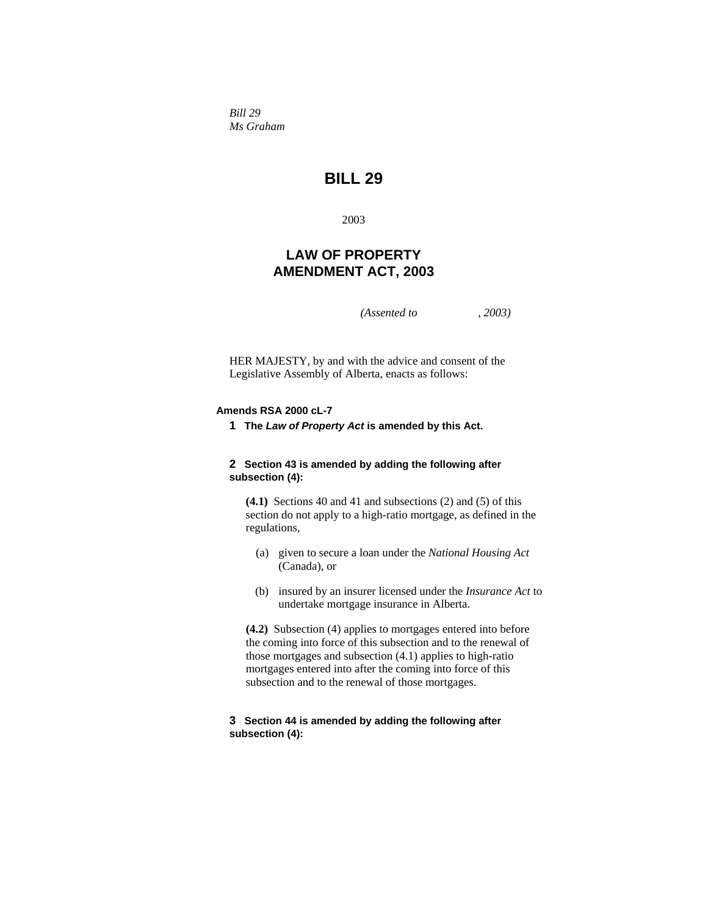*Bill 29 Ms Graham* 

# **BILL 29**

2003

## **LAW OF PROPERTY AMENDMENT ACT, 2003**

*(Assented to , 2003)* 

HER MAJESTY, by and with the advice and consent of the Legislative Assembly of Alberta, enacts as follows:

## **Amends RSA 2000 cL-7**

**1 The** *Law of Property Act* **is amended by this Act.**

## **2 Section 43 is amended by adding the following after subsection (4):**

**(4.1)** Sections 40 and 41 and subsections (2) and (5) of this section do not apply to a high-ratio mortgage, as defined in the regulations,

- (a) given to secure a loan under the *National Housing Act* (Canada), or
- (b) insured by an insurer licensed under the *Insurance Act* to undertake mortgage insurance in Alberta.

**(4.2)** Subsection (4) applies to mortgages entered into before the coming into force of this subsection and to the renewal of those mortgages and subsection (4.1) applies to high-ratio mortgages entered into after the coming into force of this subsection and to the renewal of those mortgages.

## **3 Section 44 is amended by adding the following after subsection (4):**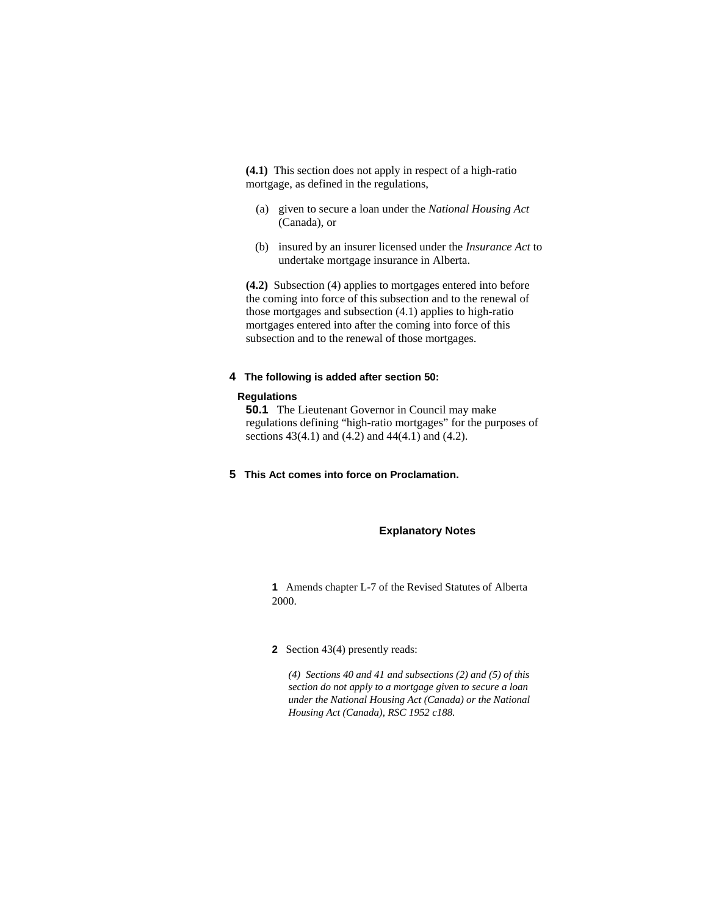**(4.1)** This section does not apply in respect of a high-ratio mortgage, as defined in the regulations,

- (a) given to secure a loan under the *National Housing Act* (Canada), or
- (b) insured by an insurer licensed under the *Insurance Act* to undertake mortgage insurance in Alberta.

**(4.2)** Subsection (4) applies to mortgages entered into before the coming into force of this subsection and to the renewal of those mortgages and subsection (4.1) applies to high-ratio mortgages entered into after the coming into force of this subsection and to the renewal of those mortgages.

## **4 The following is added after section 50:**

#### **Regulations**

**50.1** The Lieutenant Governor in Council may make regulations defining "high-ratio mortgages" for the purposes of sections 43(4.1) and (4.2) and 44(4.1) and (4.2).

**5 This Act comes into force on Proclamation.**

#### **Explanatory Notes**

**1** Amends chapter L-7 of the Revised Statutes of Alberta 2000.

#### **2** Section 43(4) presently reads:

*(4) Sections 40 and 41 and subsections (2) and (5) of this section do not apply to a mortgage given to secure a loan under the National Housing Act (Canada) or the National Housing Act (Canada), RSC 1952 c188.*